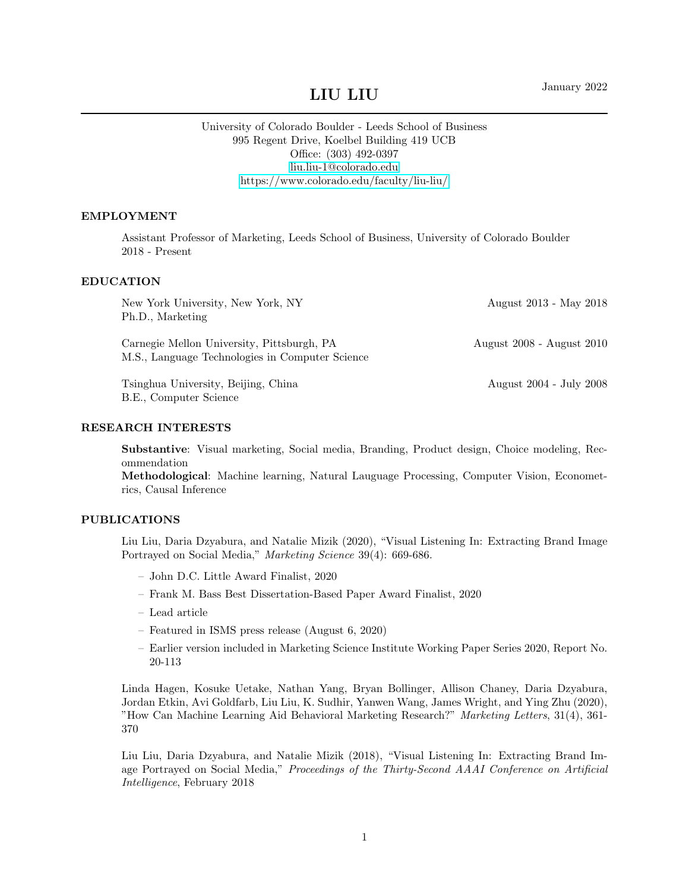# January 2022 LIU LIU

# University of Colorado Boulder - Leeds School of Business 995 Regent Drive, Koelbel Building 419 UCB Office: (303) 492-0397 [liu.liu-1@colorado.edu](mailto:liu.liu-1@colorado.edu) <https://www.colorado.edu/faculty/liu-liu/>

#### EMPLOYMENT

Assistant Professor of Marketing, Leeds School of Business, University of Colorado Boulder 2018 - Present

#### EDUCATION

| New York University, New York, NY<br>Ph.D., Marketing                                         | August 2013 - May 2018    |
|-----------------------------------------------------------------------------------------------|---------------------------|
| Carnegie Mellon University, Pittsburgh, PA<br>M.S., Language Technologies in Computer Science | August 2008 - August 2010 |
| Tsinghua University, Beijing, China                                                           | August 2004 - July 2008   |

B.E., Computer Science

#### RESEARCH INTERESTS

Substantive: Visual marketing, Social media, Branding, Product design, Choice modeling, Recommendation

Methodological: Machine learning, Natural Lauguage Processing, Computer Vision, Econometrics, Causal Inference

#### PUBLICATIONS

Liu Liu, Daria Dzyabura, and Natalie Mizik (2020), "Visual Listening In: Extracting Brand Image Portrayed on Social Media," Marketing Science 39(4): 669-686.

- John D.C. Little Award Finalist, 2020
- Frank M. Bass Best Dissertation-Based Paper Award Finalist, 2020
- Lead article
- Featured in ISMS press release (August 6, 2020)
- Earlier version included in Marketing Science Institute Working Paper Series 2020, Report No. 20-113

Linda Hagen, Kosuke Uetake, Nathan Yang, Bryan Bollinger, Allison Chaney, Daria Dzyabura, Jordan Etkin, Avi Goldfarb, Liu Liu, K. Sudhir, Yanwen Wang, James Wright, and Ying Zhu (2020), "How Can Machine Learning Aid Behavioral Marketing Research?" Marketing Letters, 31(4), 361- 370

Liu Liu, Daria Dzyabura, and Natalie Mizik (2018), "Visual Listening In: Extracting Brand Image Portrayed on Social Media," Proceedings of the Thirty-Second AAAI Conference on Artificial Intelligence, February 2018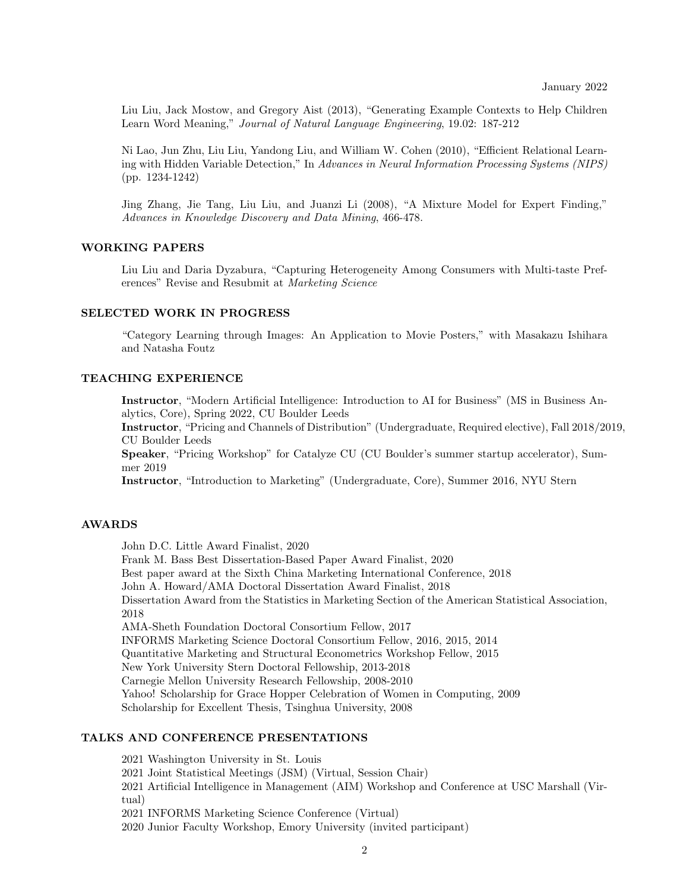Liu Liu, Jack Mostow, and Gregory Aist (2013), "Generating Example Contexts to Help Children Learn Word Meaning," Journal of Natural Language Engineering, 19.02: 187-212

Ni Lao, Jun Zhu, Liu Liu, Yandong Liu, and William W. Cohen (2010), "Efficient Relational Learning with Hidden Variable Detection," In Advances in Neural Information Processing Systems (NIPS) (pp. 1234-1242)

Jing Zhang, Jie Tang, Liu Liu, and Juanzi Li (2008), "A Mixture Model for Expert Finding," Advances in Knowledge Discovery and Data Mining, 466-478.

#### WORKING PAPERS

Liu Liu and Daria Dyzabura, "Capturing Heterogeneity Among Consumers with Multi-taste Preferences" Revise and Resubmit at Marketing Science

#### SELECTED WORK IN PROGRESS

"Category Learning through Images: An Application to Movie Posters," with Masakazu Ishihara and Natasha Foutz

## TEACHING EXPERIENCE

Instructor, "Modern Artificial Intelligence: Introduction to AI for Business" (MS in Business Analytics, Core), Spring 2022, CU Boulder Leeds

Instructor, "Pricing and Channels of Distribution" (Undergraduate, Required elective), Fall 2018/2019, CU Boulder Leeds

Speaker, "Pricing Workshop" for Catalyze CU (CU Boulder's summer startup accelerator), Summer 2019

Instructor, "Introduction to Marketing" (Undergraduate, Core), Summer 2016, NYU Stern

## AWARDS

John D.C. Little Award Finalist, 2020

Frank M. Bass Best Dissertation-Based Paper Award Finalist, 2020 Best paper award at the Sixth China Marketing International Conference, 2018 John A. Howard/AMA Doctoral Dissertation Award Finalist, 2018 Dissertation Award from the Statistics in Marketing Section of the American Statistical Association, 2018 AMA-Sheth Foundation Doctoral Consortium Fellow, 2017 INFORMS Marketing Science Doctoral Consortium Fellow, 2016, 2015, 2014 Quantitative Marketing and Structural Econometrics Workshop Fellow, 2015 New York University Stern Doctoral Fellowship, 2013-2018 Carnegie Mellon University Research Fellowship, 2008-2010 Yahoo! Scholarship for Grace Hopper Celebration of Women in Computing, 2009 Scholarship for Excellent Thesis, Tsinghua University, 2008

#### TALKS AND CONFERENCE PRESENTATIONS

2021 Washington University in St. Louis

2021 Joint Statistical Meetings (JSM) (Virtual, Session Chair)

2021 Artificial Intelligence in Management (AIM) Workshop and Conference at USC Marshall (Virtual)

2021 INFORMS Marketing Science Conference (Virtual)

2020 Junior Faculty Workshop, Emory University (invited participant)